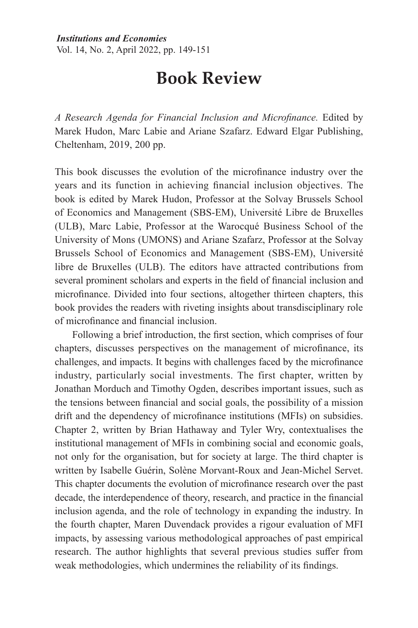## **Book Review**

*A Research Agenda for Financial Inclusion and Microfinance.* Edited by Marek Hudon, Marc Labie and Ariane Szafarz. Edward Elgar Publishing, Cheltenham, 2019, 200 pp.

This book discusses the evolution of the microfinance industry over the years and its function in achieving financial inclusion objectives. The book is edited by Marek Hudon, Professor at the Solvay Brussels School of Economics and Management (SBS-EM), Université Libre de Bruxelles (ULB), Marc Labie, Professor at the Warocqué Business School of the University of Mons (UMONS) and Ariane Szafarz, Professor at the Solvay Brussels School of Economics and Management (SBS-EM), Université libre de Bruxelles (ULB). The editors have attracted contributions from several prominent scholars and experts in the field of financial inclusion and microfinance. Divided into four sections, altogether thirteen chapters, this book provides the readers with riveting insights about transdisciplinary role of microfinance and financial inclusion.

Following a brief introduction, the first section, which comprises of four chapters, discusses perspectives on the management of microfinance, its challenges, and impacts. It begins with challenges faced by the microfinance industry, particularly social investments. The first chapter, written by Jonathan Morduch and Timothy Ogden, describes important issues, such as the tensions between financial and social goals, the possibility of a mission drift and the dependency of microfinance institutions (MFIs) on subsidies. Chapter 2, written by Brian Hathaway and Tyler Wry, contextualises the institutional management of MFIs in combining social and economic goals, not only for the organisation, but for society at large. The third chapter is written by Isabelle Guérin, Solène Morvant-Roux and Jean-Michel Servet. This chapter documents the evolution of microfinance research over the past decade, the interdependence of theory, research, and practice in the financial inclusion agenda, and the role of technology in expanding the industry. In the fourth chapter, Maren Duvendack provides a rigour evaluation of MFI impacts, by assessing various methodological approaches of past empirical research. The author highlights that several previous studies suffer from weak methodologies, which undermines the reliability of its findings.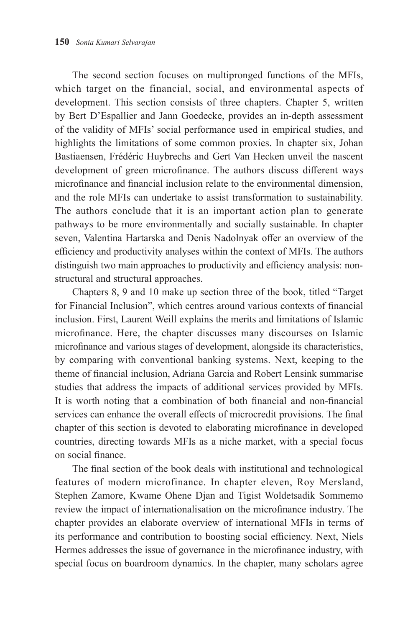The second section focuses on multipronged functions of the MFIs, which target on the financial, social, and environmental aspects of development. This section consists of three chapters. Chapter 5, written by Bert D'Espallier and Jann Goedecke, provides an in-depth assessment of the validity of MFIs' social performance used in empirical studies, and highlights the limitations of some common proxies. In chapter six, Johan Bastiaensen, Frédéric Huybrechs and Gert Van Hecken unveil the nascent development of green microfinance. The authors discuss different ways microfinance and financial inclusion relate to the environmental dimension, and the role MFIs can undertake to assist transformation to sustainability. The authors conclude that it is an important action plan to generate pathways to be more environmentally and socially sustainable. In chapter seven, Valentina Hartarska and Denis Nadolnyak offer an overview of the efficiency and productivity analyses within the context of MFIs. The authors distinguish two main approaches to productivity and efficiency analysis: nonstructural and structural approaches.

Chapters 8, 9 and 10 make up section three of the book, titled "Target for Financial Inclusion", which centres around various contexts of financial inclusion. First, Laurent Weill explains the merits and limitations of Islamic microfinance. Here, the chapter discusses many discourses on Islamic microfinance and various stages of development, alongside its characteristics, by comparing with conventional banking systems. Next, keeping to the theme of financial inclusion, Adriana Garcia and Robert Lensink summarise studies that address the impacts of additional services provided by MFIs. It is worth noting that a combination of both financial and non-financial services can enhance the overall effects of microcredit provisions. The final chapter of this section is devoted to elaborating microfinance in developed countries, directing towards MFIs as a niche market, with a special focus on social finance.

The final section of the book deals with institutional and technological features of modern microfinance. In chapter eleven, Roy Mersland, Stephen Zamore, Kwame Ohene Djan and Tigist Woldetsadik Sommemo review the impact of internationalisation on the microfinance industry. The chapter provides an elaborate overview of international MFIs in terms of its performance and contribution to boosting social efficiency. Next, Niels Hermes addresses the issue of governance in the microfinance industry, with special focus on boardroom dynamics. In the chapter, many scholars agree